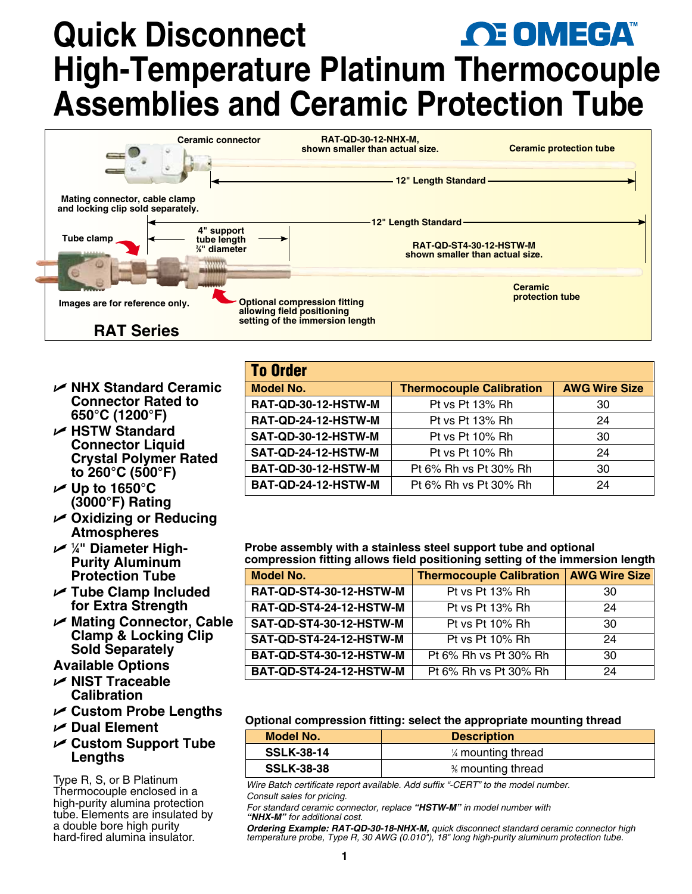# **Quick Disconnect OE OMEGA High-Temperature Platinum Thermocouple Assemblies and Ceramic Protection Tube**

| Ceramic connector                                                  | <b>RAT-QD-30-12-NHX-M,</b><br>shown smaller than actual size.                                        | <b>Ceramic protection tube</b>                                    |
|--------------------------------------------------------------------|------------------------------------------------------------------------------------------------------|-------------------------------------------------------------------|
|                                                                    | 12" Length Standard                                                                                  |                                                                   |
| Mating connector, cable clamp<br>and locking clip sold separately. |                                                                                                      |                                                                   |
|                                                                    | 12" Length Standard                                                                                  |                                                                   |
| 4" support<br>Tube clamp<br>tube length<br>%" diameter             |                                                                                                      | <b>RAT-QD-ST4-30-12-HSTW-M</b><br>shown smaller than actual size. |
|                                                                    |                                                                                                      | <b>Ceramic</b>                                                    |
| Images are for reference only.                                     | <b>Optional compression fitting</b><br>allowing field positioning<br>setting of the immersion length | protection tube                                                   |
| <b>RAT Series</b>                                                  |                                                                                                      |                                                                   |

- U **NHX Standard Ceramic Connector Rated to 650°C (1200°F)**
- U **HSTW Standard Connector Liquid Crystal Polymer Rated to 260°C (500°F)**
- U **Up to 1650°C (3000°F) Rating**
- U **Oxidizing or Reducing Atmospheres**
- U **<sup>1</sup> ⁄4" Diameter High-Purity Aluminum Protection Tube**
- U **Tube Clamp Included for Extra Strength**
- U **Mating Connector, Cable Clamp & Locking Clip Sold Separately**
- **Available Options**
- U **NIST Traceable Calibration**
- U **Custom Probe Lengths**
- U **Dual Element**

# U **Custom Support Tube Lengths**

Type R, S, or B Platinum Thermocouple enclosed in a high-purity alumina protection tube. Elements are insulated by a double bore high purity hard-fired alumina insulator.

| <b>To Order</b>            |                                 |                      |  |  |  |  |
|----------------------------|---------------------------------|----------------------|--|--|--|--|
| <b>Model No.</b>           | <b>Thermocouple Calibration</b> | <b>AWG Wire Size</b> |  |  |  |  |
| <b>RAT-QD-30-12-HSTW-M</b> | Pt vs Pt 13% Rh                 | 30                   |  |  |  |  |
| RAT-QD-24-12-HSTW-M        | Pt vs Pt 13% Rh                 | 24                   |  |  |  |  |
| SAT-QD-30-12-HSTW-M        | Pt vs Pt 10% Rh                 | 30                   |  |  |  |  |
| SAT-QD-24-12-HSTW-M        | Pt vs Pt 10% Rh                 | 24                   |  |  |  |  |
| BAT-QD-30-12-HSTW-M        | Pt 6% Rh vs Pt 30% Rh           | 30                   |  |  |  |  |
| BAT-QD-24-12-HSTW-M        | Pt 6% Rh vs Pt 30% Rh           | 24                   |  |  |  |  |

#### **Probe assembly with a stainless steel support tube and optional compression fitting allows field positioning setting of the immersion length**

| <b>Model No.</b>        | <b>Thermocouple Calibration</b> | <b>AWG Wire Size</b> |  |
|-------------------------|---------------------------------|----------------------|--|
| RAT-QD-ST4-30-12-HSTW-M | Pt vs Pt 13% Rh                 | 30                   |  |
| RAT-QD-ST4-24-12-HSTW-M | Pt vs Pt 13% Rh                 | 24                   |  |
| SAT-QD-ST4-30-12-HSTW-M | Pt vs Pt 10% Rh                 | 30                   |  |
| SAT-QD-ST4-24-12-HSTW-M | Pt vs Pt 10% Rh                 | 24                   |  |
| BAT-QD-ST4-30-12-HSTW-M | Pt 6% Rh vs Pt 30% Rh           | 30                   |  |
| BAT-QD-ST4-24-12-HSTW-M | Pt 6% Rh vs Pt 30% Rh           | 24                   |  |

#### **Optional compression fitting: select the appropriate mounting thread**

| Model No.         | <b>Description</b>  |  |  |  |
|-------------------|---------------------|--|--|--|
| <b>SSLK-38-14</b> | 1⁄4 mounting thread |  |  |  |
| <b>SSLK-38-38</b> | % mounting thread   |  |  |  |

*Wire Batch certificate report available. Add suffix "-CERT" to the model number. Consult sales for pricing.*

*For standard ceramic connector, replace "HSTW-M" in model number with "NHX-M" for additional cost.*

*Ordering Example: RAT-QD-30-18-NHX-M, quick disconnect standard ceramic connector high temperature probe, Type R, 30 AWG (0.010"), 18" long high-purity aluminum protection tube.*